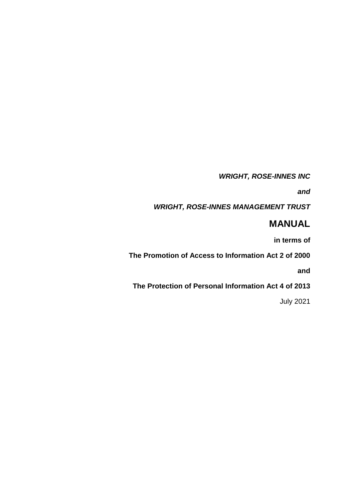*WRIGHT, ROSE-INNES INC*

*and*

*WRIGHT, ROSE-INNES MANAGEMENT TRUST* 

# **MANUAL**

**in terms of**

**The Promotion of Access to Information Act 2 of 2000**

**and**

**The Protection of Personal Information Act 4 of 2013**

July 2021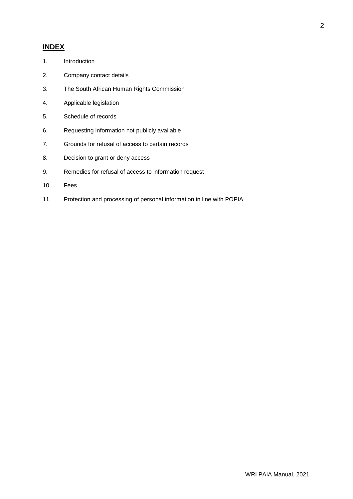# **INDEX**

- 1. Introduction
- 2. Company contact details
- 3. The South African Human Rights Commission
- 4. Applicable legislation
- 5. Schedule of records
- 6. Requesting information not publicly available
- 7. Grounds for refusal of access to certain records
- 8. Decision to grant or deny access
- 9. Remedies for refusal of access to information request
- 10. Fees
- 11. Protection and processing of personal information in line with POPIA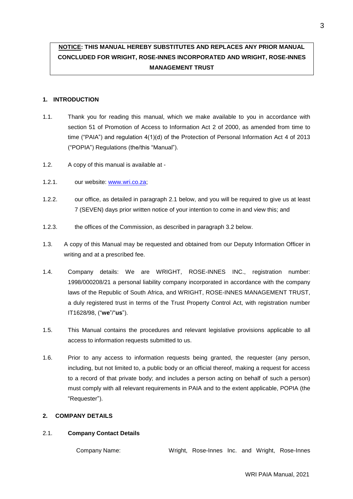# **NOTICE: THIS MANUAL HEREBY SUBSTITUTES AND REPLACES ANY PRIOR MANUAL CONCLUDED FOR WRIGHT, ROSE-INNES INCORPORATED AND WRIGHT, ROSE-INNES MANAGEMENT TRUST**

# **1. INTRODUCTION**

- 1.1. Thank you for reading this manual, which we make available to you in accordance with section 51 of Promotion of Access to Information Act 2 of 2000, as amended from time to time ("PAIA") and regulation 4(1)(d) of the Protection of Personal Information Act 4 of 2013 ("POPIA") Regulations (the/this "Manual").
- 1.2. A copy of this manual is available at -
- 1.2.1. our website: [www.wri.co.za;](https://writrust-my.sharepoint.com/personal/kirstenb_wri_co_za/Documents/Documents/Kirsten%20Matters/Richard%20Maddern%20Matters/POPIA/www.wri.co.za)
- 1.2.2. our office, as detailed in paragraph 2.1 below, and you will be required to give us at least 7 (SEVEN) days prior written notice of your intention to come in and view this; and
- 1.2.3. the offices of the Commission, as described in paragraph 3.2 below.
- 1.3. A copy of this Manual may be requested and obtained from our Deputy Information Officer in writing and at a prescribed fee.
- 1.4. Company details: We are WRIGHT, ROSE-INNES INC., registration number: 1998/000208/21 a personal liability company incorporated in accordance with the company laws of the Republic of South Africa, and WRIGHT, ROSE-INNES MANAGEMENT TRUST, a duly registered trust in terms of the Trust Property Control Act, with registration number IT1628/98, ("**we**"/"**us**").
- 1.5. This Manual contains the procedures and relevant legislative provisions applicable to all access to information requests submitted to us.
- 1.6. Prior to any access to information requests being granted, the requester (any person, including, but not limited to, a public body or an official thereof, making a request for access to a record of that private body; and includes a person acting on behalf of such a person) must comply with all relevant requirements in PAIA and to the extent applicable, POPIA (the "Requester").

# **2. COMPANY DETAILS**

# 2.1. **Company Contact Details**

Company Name: Wright, Rose-Innes Inc. and Wright, Rose-Innes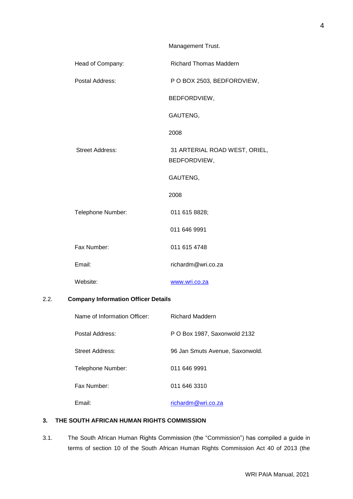|                        | Management Trust.                             |
|------------------------|-----------------------------------------------|
| Head of Company:       | <b>Richard Thomas Maddern</b>                 |
| Postal Address:        | P O BOX 2503, BEDFORDVIEW,                    |
|                        | BEDFORDVIEW,                                  |
|                        | GAUTENG,                                      |
|                        | 2008                                          |
| <b>Street Address:</b> | 31 ARTERIAL ROAD WEST, ORIEL,<br>BEDFORDVIEW, |
|                        | GAUTENG,                                      |
|                        | 2008                                          |
| Telephone Number:      | 011 615 8828;                                 |
|                        | 011 646 9991                                  |
| Fax Number:            | 011 615 4748                                  |
| Email:                 | richardm@wri.co.za                            |
| Website:               | www.wri.co.za                                 |

# 2.2. **Company Information Officer Details**

| Name of Information Officer: | <b>Richard Maddern</b>          |
|------------------------------|---------------------------------|
| Postal Address:              | P O Box 1987, Saxonwold 2132    |
| Street Address:              | 96 Jan Smuts Avenue, Saxonwold. |
| Telephone Number:            | 011 646 9991                    |
| Fax Number:                  | 011 646 3310                    |
| Email:                       | richardm@wri.co.za              |

# **3. THE SOUTH AFRICAN HUMAN RIGHTS COMMISSION**

3.1. The South African Human Rights Commission (the "Commission") has compiled a guide in terms of section 10 of the South African Human Rights Commission Act 40 of 2013 (the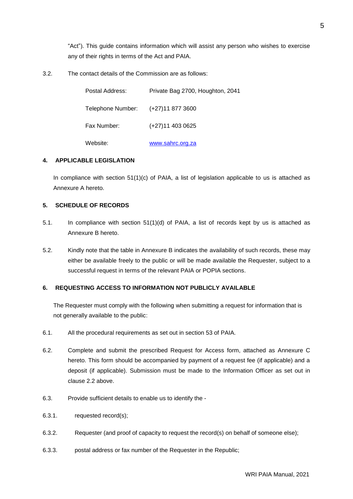"Act"). This guide contains information which will assist any person who wishes to exercise any of their rights in terms of the Act and PAIA.

3.2. The contact details of the Commission are as follows:

| Postal Address:                    | Private Bag 2700, Houghton, 2041 |
|------------------------------------|----------------------------------|
| Telephone Number: (+27)11 877 3600 |                                  |
| Fax Number:                        | (+27)11 403 0625                 |
| Website:                           | www.sahrc.org.za                 |

# **4. APPLICABLE LEGISLATION**

In compliance with section  $51(1)(c)$  of PAIA, a list of legislation applicable to us is attached as Annexure A hereto.

## **5. SCHEDULE OF RECORDS**

- 5.1. In compliance with section 51(1)(d) of PAIA, a list of records kept by us is attached as Annexure B hereto.
- 5.2. Kindly note that the table in Annexure B indicates the availability of such records, these may either be available freely to the public or will be made available the Requester, subject to a successful request in terms of the relevant PAIA or POPIA sections.

# **6. REQUESTING ACCESS TO INFORMATION NOT PUBLICLY AVAILABLE**

The Requester must comply with the following when submitting a request for information that is not generally available to the public:

- 6.1. All the procedural requirements as set out in section 53 of PAIA.
- 6.2. Complete and submit the prescribed Request for Access form, attached as Annexure C hereto. This form should be accompanied by payment of a request fee (if applicable) and a deposit (if applicable). Submission must be made to the Information Officer as set out in clause 2.2 above.
- 6.3. Provide sufficient details to enable us to identify the -
- 6.3.1. requested record(s);
- 6.3.2. Requester (and proof of capacity to request the record(s) on behalf of someone else);
- 6.3.3. postal address or fax number of the Requester in the Republic;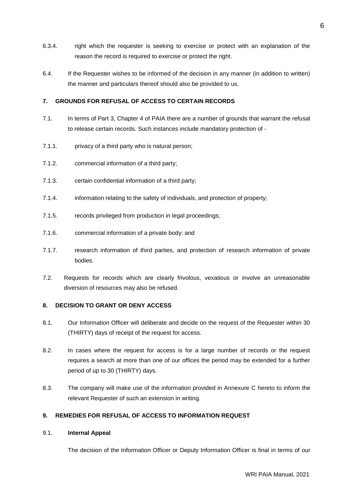- 6.3.4. right which the requester is seeking to exercise or protect with an explanation of the reason the record is required to exercise or protect the right.
- 6.4. If the Requester wishes to be informed of the decision in any manner (in addition to written) the manner and particulars thereof should also be provided to us.

# **7. GROUNDS FOR REFUSAL OF ACCESS TO CERTAIN RECORDS**

- 7.1. In terms of Part 3, Chapter 4 of PAIA there are a number of grounds that warrant the refusal to release certain records. Such instances include mandatory protection of -
- 7.1.1. privacy of a third party who is natural person;
- 7.1.2. commercial information of a third party;
- 7.1.3. certain confidential information of a third party;
- 7.1.4. information relating to the safety of individuals, and protection of property;
- 7.1.5. records privileged from production in legal proceedings;
- 7.1.6. commercial information of a private body; and
- 7.1.7. research information of third parties, and protection of research information of private bodies.
- 7.2. Requests for records which are clearly frivolous, vexatious or involve an unreasonable diversion of resources may also be refused.

# **8. DECISION TO GRANT OR DENY ACCESS**

- 8.1. Our Information Officer will deliberate and decide on the request of the Requester within 30 (THIRTY) days of receipt of the request for access.
- 8.2. In cases where the request for access is for a large number of records or the request requires a search at more than one of our offices the period may be extended for a further period of up to 30 (THIRTY) days.
- 8.3. The company will make use of the information provided in Annexure C hereto to inform the relevant Requester of such an extension in writing.

# **9. REMEDIES FOR REFUSAL OF ACCESS TO INFORMATION REQUEST**

# 9.1. **Internal Appeal**

The decision of the Information Officer or Deputy Information Officer is final in terms of our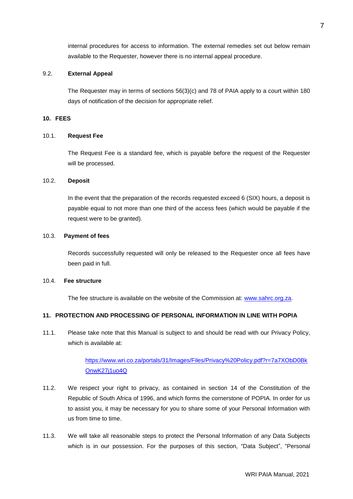internal procedures for access to information. The external remedies set out below remain available to the Requester, however there is no internal appeal procedure.

#### 9.2. **External Appeal**

The Requester may in terms of sections 56(3)(c) and 78 of PAIA apply to a court within 180 days of notification of the decision for appropriate relief.

# **10. FEES**

## 10.1. **Request Fee**

The Request Fee is a standard fee, which is payable before the request of the Requester will be processed.

#### 10.2. **Deposit**

In the event that the preparation of the records requested exceed 6 (SIX) hours, a deposit is payable equal to not more than one third of the access fees (which would be payable if the request were to be granted).

#### 10.3. **Payment of fees**

Records successfully requested will only be released to the Requester once all fees have been paid in full.

#### 10.4. **Fee structure**

The fee structure is available on the website of the Commission at: [www.sahrc.org.za.](http://www.sahrc.org.za/)

# **11. PROTECTION AND PROCESSING OF PERSONAL INFORMATION IN LINE WITH POPIA**

11.1. Please take note that this Manual is subject to and should be read with our Privacy Policy, which is available at:

> [https://www.wri.co.za/portals/31/Images/Files/Privacy%20Policy.pdf?r=7a7XObD0Bk](https://www.wri.co.za/portals/31/Images/Files/Privacy%20Policy.pdf?r=7a7XObD0BkOnwK27j1uo4Q) [OnwK27j1uo4Q](https://www.wri.co.za/portals/31/Images/Files/Privacy%20Policy.pdf?r=7a7XObD0BkOnwK27j1uo4Q)

- 11.2. We respect your right to privacy, as contained in section 14 of the Constitution of the Republic of South Africa of 1996, and which forms the cornerstone of POPIA. In order for us to assist you, it may be necessary for you to share some of your Personal Information with us from time to time.
- 11.3. We will take all reasonable steps to protect the Personal Information of any Data Subjects which is in our possession. For the purposes of this section, "Data Subject", "Personal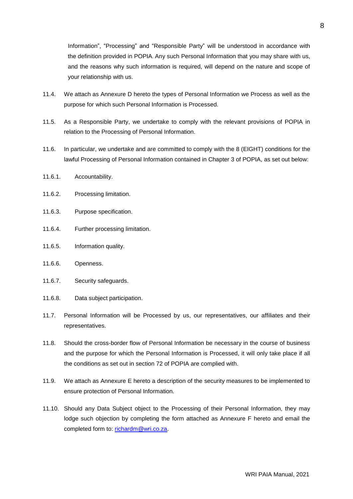Information", "Processing" and "Responsible Party" will be understood in accordance with the definition provided in POPIA. Any such Personal Information that you may share with us, and the reasons why such information is required, will depend on the nature and scope of your relationship with us.

- 11.4. We attach as Annexure D hereto the types of Personal Information we Process as well as the purpose for which such Personal Information is Processed.
- 11.5. As a Responsible Party, we undertake to comply with the relevant provisions of POPIA in relation to the Processing of Personal Information.
- 11.6. In particular, we undertake and are committed to comply with the 8 (EIGHT) conditions for the lawful Processing of Personal Information contained in Chapter 3 of POPIA, as set out below:
- 11.6.1. Accountability.
- 11.6.2. Processing limitation.
- 11.6.3. Purpose specification.
- 11.6.4. Further processing limitation.
- 11.6.5. Information quality.
- 11.6.6. Openness.
- 11.6.7. Security safeguards.
- 11.6.8. Data subject participation.
- 11.7. Personal Information will be Processed by us, our representatives, our affiliates and their representatives.
- 11.8. Should the cross-border flow of Personal Information be necessary in the course of business and the purpose for which the Personal Information is Processed, it will only take place if all the conditions as set out in section 72 of POPIA are complied with.
- 11.9. We attach as Annexure E hereto a description of the security measures to be implemented to ensure protection of Personal Information.
- 11.10. Should any Data Subject object to the Processing of their Personal Information, they may lodge such objection by completing the form attached as Annexure F hereto and email the completed form to: [richardm@wri.co.za.](mailto:richardm@wri.co.za)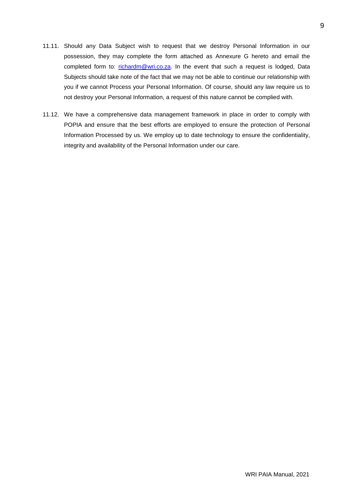- 11.11. Should any Data Subject wish to request that we destroy Personal Information in our possession, they may complete the form attached as Annexure G hereto and email the completed form to: [richardm@wri.co.za.](mailto:richardm@wri.co.za) In the event that such a request is lodged, Data Subjects should take note of the fact that we may not be able to continue our relationship with you if we cannot Process your Personal Information. Of course, should any law require us to not destroy your Personal Information, a request of this nature cannot be complied with.
- 11.12. We have a comprehensive data management framework in place in order to comply with POPIA and ensure that the best efforts are employed to ensure the protection of Personal Information Processed by us. We employ up to date technology to ensure the confidentiality, integrity and availability of the Personal Information under our care.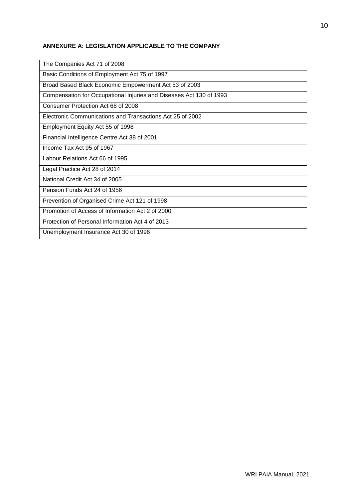# **ANNEXURE A: LEGISLATION APPLICABLE TO THE COMPANY**

| The Companies Act 71 of 2008                                        |
|---------------------------------------------------------------------|
| Basic Conditions of Employment Act 75 of 1997                       |
| Broad Based Black Economic Empowerment Act 53 of 2003               |
| Compensation for Occupational Injuries and Diseases Act 130 of 1993 |
| Consumer Protection Act 68 of 2008                                  |
| Electronic Communications and Transactions Act 25 of 2002           |
| Employment Equity Act 55 of 1998                                    |
| Financial Intelligence Centre Act 38 of 2001                        |
| Income Tax Act 95 of 1967                                           |
| Labour Relations Act 66 of 1995                                     |
| Legal Practice Act 28 of 2014                                       |
| National Credit Act 34 of 2005                                      |
| Pension Funds Act 24 of 1956                                        |
| Prevention of Organised Crime Act 121 of 1998                       |
| Promotion of Access of Information Act 2 of 2000                    |
| Protection of Personal Information Act 4 of 2013                    |
| Unemployment Insurance Act 30 of 1996                               |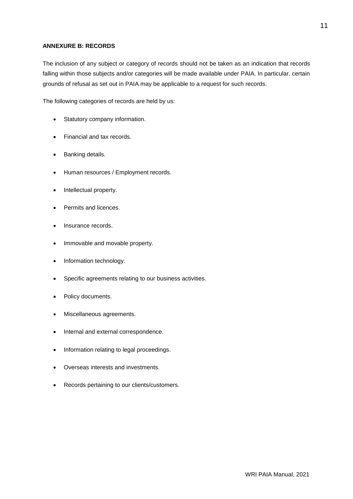# **ANNEXURE B: RECORDS**

The inclusion of any subject or category of records should not be taken as an indication that records falling within those subjects and/or categories will be made available under PAIA. In particular, certain grounds of refusal as set out in PAIA may be applicable to a request for such records.

The following categories of records are held by us:

- Statutory company information.
- Financial and tax records.
- Banking details.
- Human resources / Employment records.
- Intellectual property.
- Permits and licences.
- Insurance records.
- Immovable and movable property.
- Information technology.
- Specific agreements relating to our business activities.
- Policy documents.
- Miscellaneous agreements.
- Internal and external correspondence.
- Information relating to legal proceedings.
- Overseas interests and investments.
- Records pertaining to our clients/customers.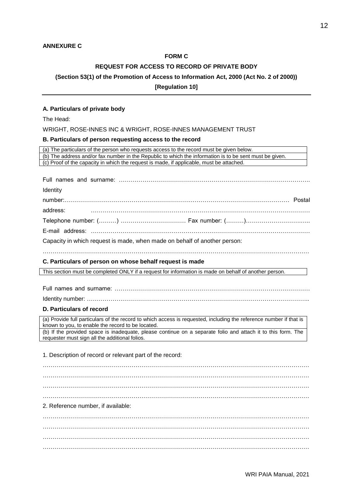#### **FORM C**

# **REQUEST FOR ACCESS TO RECORD OF PRIVATE BODY**

# **(Section 53(1) of the Promotion of Access to Information Act, 2000 (Act No. 2 of 2000))**

## **[Regulation 10]**

## **A. Particulars of private body**

The Head:

WRIGHT, ROSE-INNES INC & WRIGHT, ROSE-INNES MANAGEMENT TRUST

## **B. Particulars of person requesting access to the record**

| (a) The particulars of the person who requests access to the record must be given below.                                                                                |
|-------------------------------------------------------------------------------------------------------------------------------------------------------------------------|
| (b) The address and/or fax number in the Republic to which the information is to be sent must be given.                                                                 |
| (c) Proof of the capacity in which the request is made, if applicable, must be attached.                                                                                |
|                                                                                                                                                                         |
|                                                                                                                                                                         |
| Identity                                                                                                                                                                |
|                                                                                                                                                                         |
| address:                                                                                                                                                                |
|                                                                                                                                                                         |
|                                                                                                                                                                         |
| Capacity in which request is made, when made on behalf of another person:                                                                                               |
|                                                                                                                                                                         |
| C. Particulars of person on whose behalf request is made                                                                                                                |
|                                                                                                                                                                         |
| This section must be completed ONLY if a request for information is made on behalf of another person.                                                                   |
|                                                                                                                                                                         |
|                                                                                                                                                                         |
|                                                                                                                                                                         |
| D. Particulars of record                                                                                                                                                |
| (a) Provide full particulars of the record to which access is requested, including the reference number if that is<br>known to you, to enable the record to be located. |
| (b) If the provided space is inadequate, please continue on a separate folio and attach it to this form. The<br>requester must sign all the additional folios.          |
|                                                                                                                                                                         |
| 1. Description of record or relevant part of the record:                                                                                                                |
|                                                                                                                                                                         |
|                                                                                                                                                                         |
|                                                                                                                                                                         |
|                                                                                                                                                                         |
|                                                                                                                                                                         |
| 2. Reference number, if available:                                                                                                                                      |
|                                                                                                                                                                         |
|                                                                                                                                                                         |
|                                                                                                                                                                         |
|                                                                                                                                                                         |
|                                                                                                                                                                         |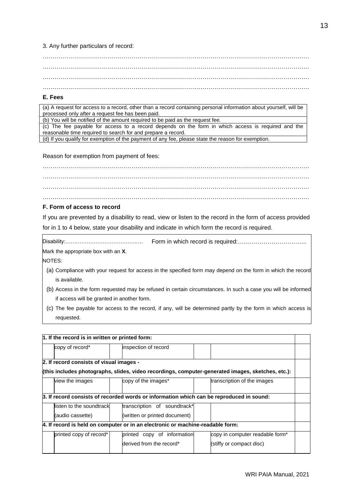# 3. Any further particulars of record:

……………………………………………………………………………………………………………………… ……………………………………………………………………………………………………………………… ………………………………………………………………………………………………………………………

#### **E. Fees**

(a) A request for access to a record, other than a record containing personal information about yourself, will be processed only after a request fee has been paid.

(b) You will be notified of the amount required to be paid as the request fee.

(c) The fee payable for access to a record depends on the form in which access is required and the reasonable time required to search for and prepare a record. (d) If you qualify for exemption of the payment of any fee, please state the reason for exemption.

Reason for exemption from payment of fees:

……………………………………………………………………………………………………………………… ……………………………………………………………………………………………………………………… ……………………………………………………………………………………………………………………… ………………………………………………………………………………………………………………………

## **F. Form of access to record**

If you are prevented by a disability to read, view or listen to the record in the form of access provided for in 1 to 4 below, state your disability and indicate in which form the record is required.

Disability:…………………………………..… Form in which record is required:…………………………….. Mark the appropriate box with an **X**.

NOTES:

- (a) Compliance with your request for access in the specified form may depend on the form in which the record is available.
- (b) Access in the form requested may be refused in certain circumstances. In such a case you will be informed if access will be granted in another form.
- (c) The fee payable for access to the record, if any, will be determined partly by the form in which access is requested.

| 1. If the record is in written or printed form: |                                                                                |                                                                                                   |  |
|-------------------------------------------------|--------------------------------------------------------------------------------|---------------------------------------------------------------------------------------------------|--|
| copy of record*                                 | inspection of record                                                           |                                                                                                   |  |
| 2. If record consists of visual images -        |                                                                                | (this includes photographs, slides, video recordings, computer-generated images, sketches, etc.): |  |
| view the images                                 | copy of the images*                                                            | transcription of the images                                                                       |  |
|                                                 |                                                                                | 3. If record consists of recorded words or information which can be reproduced in sound:          |  |
| listen to the soundtrack                        | transcription of soundtrack*                                                   |                                                                                                   |  |
| (audio cassette)                                | (written or printed document)                                                  |                                                                                                   |  |
|                                                 | 4. If record is held on computer or in an electronic or machine-readable form: |                                                                                                   |  |
| printed copy of record*                         | printed copy of information                                                    | copy in computer readable form <sup>*</sup>                                                       |  |
|                                                 | derived from the record*                                                       | (stiffy or compact disc)                                                                          |  |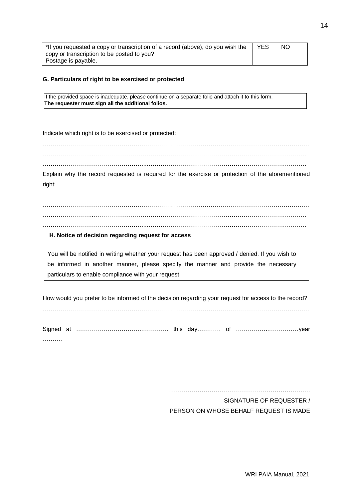| *If you requested a copy or transcription of a record (above), do you wish the | YES | NO. |
|--------------------------------------------------------------------------------|-----|-----|
| copy or transcription to be posted to you?                                     |     |     |
| Postage is payable.                                                            |     |     |

## **G. Particulars of right to be exercised or protected**

If the provided space is inadequate, please continue on a separate folio and attach it to this form. **The requester must sign all the additional folios.**

Indicate which right is to be exercised or protected:

……………………………………………………………………………………………………………………… ……………………..……………………………………………………………………………………………… ……………………………………………..………………………………………………………………………

Explain why the record requested is required for the exercise or protection of the aforementioned right:

……………………………………………………………………………………………………………………… ……………………..………………………………………………………………………………………………

## **H. Notice of decision regarding request for access**

You will be notified in writing whether your request has been approved / denied. If you wish to be informed in another manner, please specify the manner and provide the necessary particulars to enable compliance with your request.

How would you prefer to be informed of the decision regarding your request for access to the record?

………………………………………………………………………………………………………………………

Signed at …………………………….…………. this day………… of ……………..……………year ……….

………………………………………………………………

SIGNATURE OF REQUESTER / PERSON ON WHOSE BEHALF REQUEST IS MADE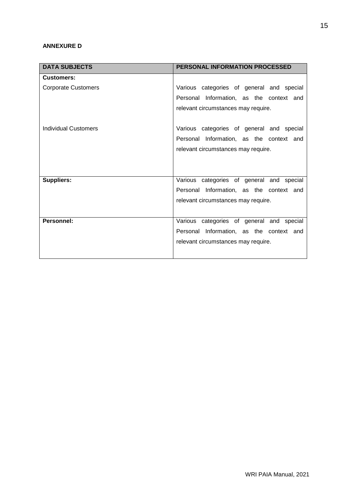# **ANNEXURE D**

| <b>DATA SUBJECTS</b>       | <b>PERSONAL INFORMATION PROCESSED</b>                                                                                        |
|----------------------------|------------------------------------------------------------------------------------------------------------------------------|
| <b>Customers:</b>          |                                                                                                                              |
| <b>Corporate Customers</b> | Various categories of general and special                                                                                    |
|                            | Personal Information, as the context and                                                                                     |
|                            | relevant circumstances may require.                                                                                          |
| Individual Customers       | Various categories of general and special<br>Personal Information, as the context and<br>relevant circumstances may require. |
|                            |                                                                                                                              |
| Suppliers:                 | Various categories of general and special                                                                                    |
|                            | Personal Information, as the context and                                                                                     |
|                            | relevant circumstances may require.                                                                                          |
| Personnel:                 | Various categories of general and special                                                                                    |
|                            | Personal Information, as the context and                                                                                     |
|                            | relevant circumstances may require.                                                                                          |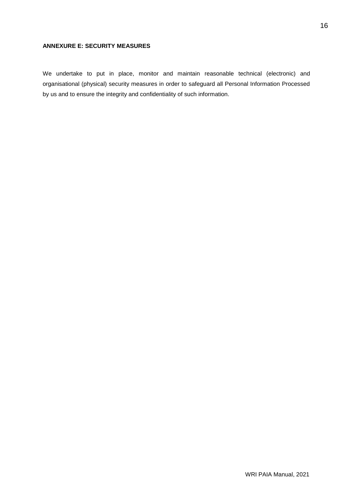# **ANNEXURE E: SECURITY MEASURES**

We undertake to put in place, monitor and maintain reasonable technical (electronic) and organisational (physical) security measures in order to safeguard all Personal Information Processed by us and to ensure the integrity and confidentiality of such information.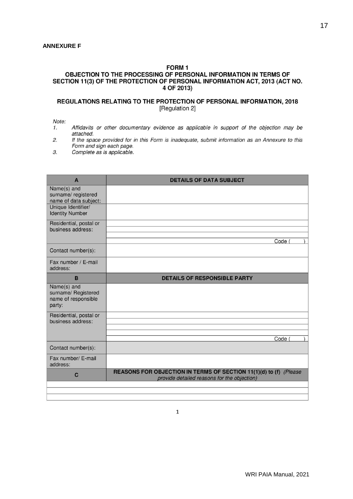## FORM<sub>1</sub>

## OBJECTION TO THE PROCESSING OF PERSONAL INFORMATION IN TERMS OF SECTION 11(3) OF THE PROTECTION OF PERSONAL INFORMATION ACT, 2013 (ACT NO. 4 OF 2013)

#### REGULATIONS RELATING TO THE PROTECTION OF PERSONAL INFORMATION, 2018 [Regulation 2]

Note:

- Affidavits or other documentary evidence as applicable in support of the objection may be  $1.$ attached.
- $2.$ If the space provided for in this Form is inadequate, submit information as an Annexure to this Form and sign each page.
- 3. Complete as is applicable.

| A                                                                   | <b>DETAILS OF DATA SUBJECT</b>                                                                                   |
|---------------------------------------------------------------------|------------------------------------------------------------------------------------------------------------------|
| Name(s) and<br>surname/ registered<br>name of data subject:         |                                                                                                                  |
| Unique Identifier/<br><b>Identity Number</b>                        |                                                                                                                  |
| Residential, postal or<br>business address:                         |                                                                                                                  |
|                                                                     | Code (                                                                                                           |
| Contact number(s):                                                  |                                                                                                                  |
| Fax number / E-mail<br>address:                                     |                                                                                                                  |
| B                                                                   | <b>DETAILS OF RESPONSIBLE PARTY</b>                                                                              |
| Name(s) and<br>surname/ Registered<br>name of responsible<br>party: |                                                                                                                  |
| Residential, postal or<br>business address:                         |                                                                                                                  |
|                                                                     |                                                                                                                  |
|                                                                     | Code                                                                                                             |
| Contact number(s):                                                  |                                                                                                                  |
| Fax number/ E-mail<br>address:                                      |                                                                                                                  |
| $\mathbf C$                                                         | REASONS FOR OBJECTION IN TERMS OF SECTION 11(1)(d) to (f) (Please<br>provide detailed reasons for the objection) |
|                                                                     |                                                                                                                  |
|                                                                     |                                                                                                                  |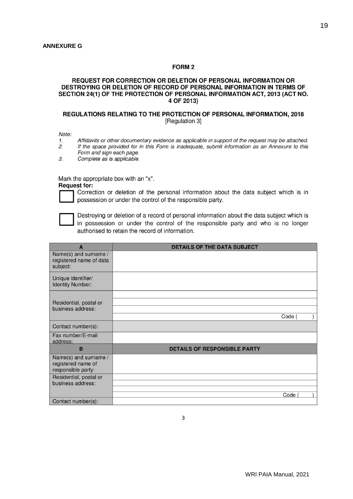#### FORM<sub>2</sub>

#### REQUEST FOR CORRECTION OR DELETION OF PERSONAL INFORMATION OR DESTROYING OR DELETION OF RECORD OF PERSONAL INFORMATION IN TERMS OF SECTION 24(1) OF THE PROTECTION OF PERSONAL INFORMATION ACT, 2013 (ACT NO. 4 OF 2013)

#### REGULATIONS RELATING TO THE PROTECTION OF PERSONAL INFORMATION, 2018 [Regulation 3]

Note:

- Affidavits or other documentary evidence as applicable in support of the request may be attached.  $\mathbf{1}$ .
- $2.$ If the space provided for in this Form is inadequate, submit information as an Annexure to this Form and sign each page.
- 3. Complete as is applicable.

Mark the appropriate box with an "x".

**Request for:** 

Correction or deletion of the personal information about the data subject which is in possession or under the control of the responsible party.



Destroying or deletion of a record of personal information about the data subject which is in possession or under the control of the responsible party and who is no longer authorised to retain the record of information.

| A                                                                 | <b>DETAILS OF THE DATA SUBJECT</b>  |
|-------------------------------------------------------------------|-------------------------------------|
| Name(s) and surname /<br>registered name of data<br>subject:      |                                     |
| Unique identifier/<br><b>Identity Number:</b>                     |                                     |
|                                                                   |                                     |
| Residential, postal or                                            |                                     |
| business address:                                                 |                                     |
|                                                                   | Code (                              |
| Contact number(s):                                                |                                     |
| Fax number/E-mail<br>address:                                     |                                     |
| B                                                                 | <b>DETAILS OF RESPONSIBLE PARTY</b> |
| Name(s) and surname /<br>registered name of<br>responsible party: |                                     |
| Residential, postal or                                            |                                     |
| business address:                                                 |                                     |
|                                                                   | Code                                |
| Contact number(s):                                                |                                     |